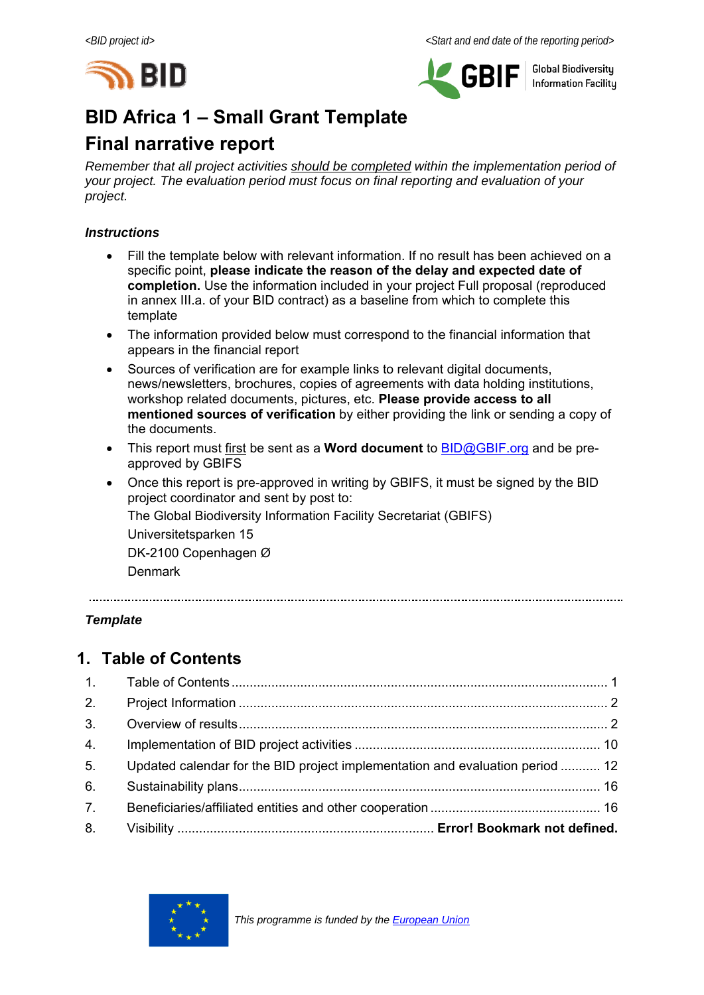



**Global Biodiversity Information Facilitu** 

# **BID Africa 1 – Small Grant Template**

# **Final narrative report**

*Remember that all project activities should be completed within the implementation period of your project. The evaluation period must focus on final reporting and evaluation of your project.* 

#### *Instructions*

- Fill the template below with relevant information. If no result has been achieved on a specific point, **please indicate the reason of the delay and expected date of completion.** Use the information included in your project Full proposal (reproduced in annex III.a. of your BID contract) as a baseline from which to complete this template
- The information provided below must correspond to the financial information that appears in the financial report
- Sources of verification are for example links to relevant digital documents, news/newsletters, brochures, copies of agreements with data holding institutions, workshop related documents, pictures, etc. **Please provide access to all mentioned sources of verification** by either providing the link or sending a copy of the documents.
- This report must first be sent as a **Word document** to BID@GBIF.org and be preapproved by GBIFS
- Once this report is pre-approved in writing by GBIFS, it must be signed by the BID project coordinator and sent by post to: The Global Biodiversity Information Facility Secretariat (GBIFS) Universitetsparken 15 DK-2100 Copenhagen Ø Denmark

#### *Template*

## **1. Table of Contents**

| 2.             |                                                                               |  |
|----------------|-------------------------------------------------------------------------------|--|
| 3.             |                                                                               |  |
| 4.             |                                                                               |  |
| 5 <sub>1</sub> | Updated calendar for the BID project implementation and evaluation period  12 |  |
| 6.             |                                                                               |  |
| 7.             |                                                                               |  |
| 8.             |                                                                               |  |

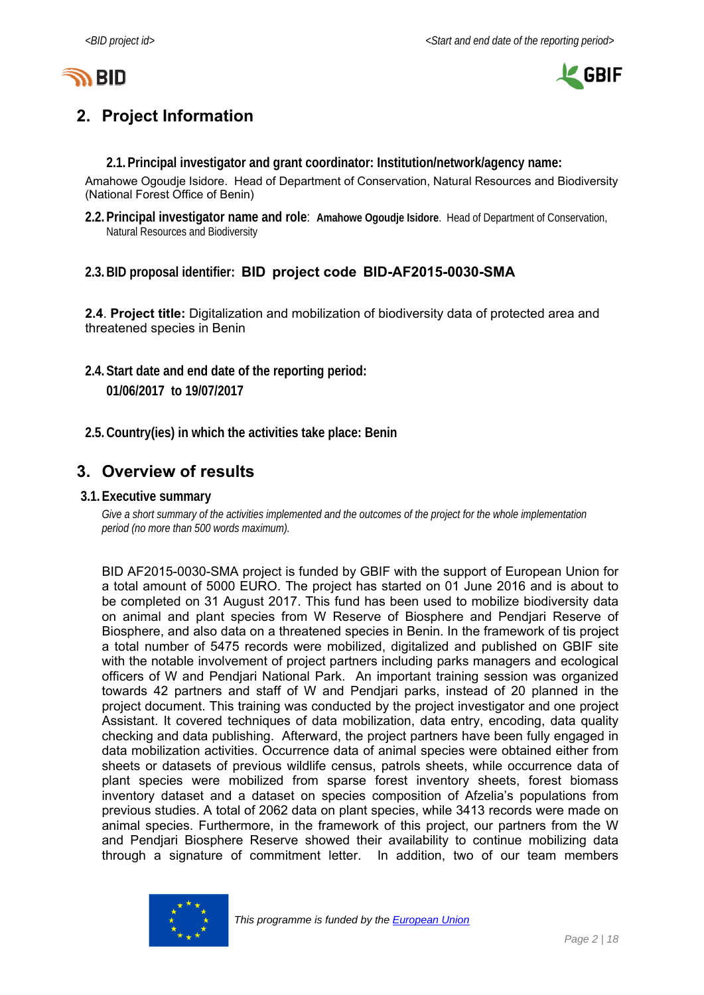



# **2. Project Information**

**2.1.Principal investigator and grant coordinator: Institution/network/agency name:** 

Amahowe Ogoudje Isidore. Head of Department of Conservation, Natural Resources and Biodiversity (National Forest Office of Benin)

- **2.2.Principal investigator name and role**: **Amahowe Ogoudje Isidore**. Head of Department of Conservation, Natural Resources and Biodiversity
- **2.3.BID proposal identifier: BID project code BID-AF2015-0030-SMA**

**2.4**. **Project title:** Digitalization and mobilization of biodiversity data of protected area and threatened species in Benin

- **2.4.Start date and end date of the reporting period: 01/06/2017 to 19/07/2017**
- **2.5.Country(ies) in which the activities take place: Benin**

### **3. Overview of results**

**3.1.Executive summary** 

*Give a short summary of the activities implemented and the outcomes of the project for the whole implementation period (no more than 500 words maximum).* 

BID AF2015-0030-SMA project is funded by GBIF with the support of European Union for a total amount of 5000 EURO. The project has started on 01 June 2016 and is about to be completed on 31 August 2017. This fund has been used to mobilize biodiversity data on animal and plant species from W Reserve of Biosphere and Pendjari Reserve of Biosphere, and also data on a threatened species in Benin. In the framework of tis project a total number of 5475 records were mobilized, digitalized and published on GBIF site with the notable involvement of project partners including parks managers and ecological officers of W and Pendjari National Park. An important training session was organized towards 42 partners and staff of W and Pendjari parks, instead of 20 planned in the project document. This training was conducted by the project investigator and one project Assistant. It covered techniques of data mobilization, data entry, encoding, data quality checking and data publishing. Afterward, the project partners have been fully engaged in data mobilization activities. Occurrence data of animal species were obtained either from sheets or datasets of previous wildlife census, patrols sheets, while occurrence data of plant species were mobilized from sparse forest inventory sheets, forest biomass inventory dataset and a dataset on species composition of Afzelia's populations from previous studies. A total of 2062 data on plant species, while 3413 records were made on animal species. Furthermore, in the framework of this project, our partners from the W and Pendjari Biosphere Reserve showed their availability to continue mobilizing data through a signature of commitment letter. In addition, two of our team members

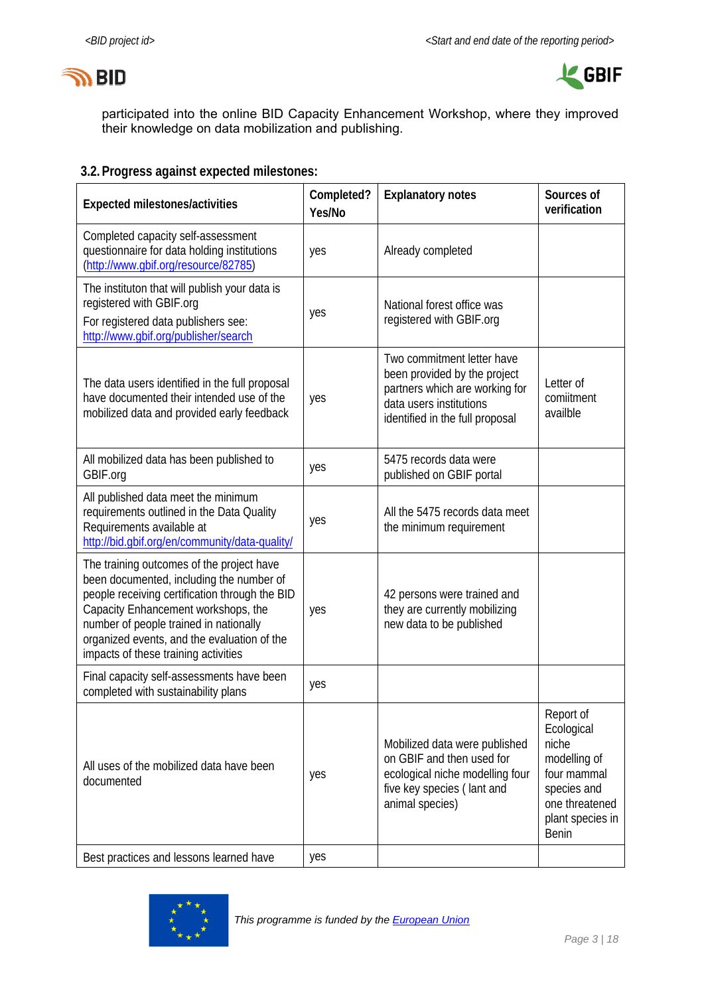



participated into the online BID Capacity Enhancement Workshop, where they improved their knowledge on data mobilization and publishing.

#### **3.2.Progress against expected milestones:**

| <b>Expected milestones/activities</b>                                                                                                                                                                                                                                                                           | Completed?<br>Yes/No | <b>Explanatory notes</b>                                                                                                                                   | Sources of<br>verification                                                                                                    |
|-----------------------------------------------------------------------------------------------------------------------------------------------------------------------------------------------------------------------------------------------------------------------------------------------------------------|----------------------|------------------------------------------------------------------------------------------------------------------------------------------------------------|-------------------------------------------------------------------------------------------------------------------------------|
| Completed capacity self-assessment<br>questionnaire for data holding institutions<br>(http://www.gbif.org/resource/82785)                                                                                                                                                                                       | yes                  | Already completed                                                                                                                                          |                                                                                                                               |
| The instituton that will publish your data is<br>registered with GBIF.org<br>For registered data publishers see:<br>http://www.gbif.org/publisher/search                                                                                                                                                        | yes                  | National forest office was<br>registered with GBIF.org                                                                                                     |                                                                                                                               |
| The data users identified in the full proposal<br>have documented their intended use of the<br>mobilized data and provided early feedback                                                                                                                                                                       | yes                  | Two commitment letter have<br>been provided by the project<br>partners which are working for<br>data users institutions<br>identified in the full proposal | Letter of<br>comiitment<br>availble                                                                                           |
| All mobilized data has been published to<br>GBIF.org                                                                                                                                                                                                                                                            | yes                  | 5475 records data were<br>published on GBIF portal                                                                                                         |                                                                                                                               |
| All published data meet the minimum<br>requirements outlined in the Data Quality<br>Requirements available at<br>http://bid.gbif.org/en/community/data-quality/                                                                                                                                                 | yes                  | All the 5475 records data meet<br>the minimum requirement                                                                                                  |                                                                                                                               |
| The training outcomes of the project have<br>been documented, including the number of<br>people receiving certification through the BID<br>Capacity Enhancement workshops, the<br>number of people trained in nationally<br>organized events, and the evaluation of the<br>impacts of these training activities | yes                  | 42 persons were trained and<br>they are currently mobilizing<br>new data to be published                                                                   |                                                                                                                               |
| Final capacity self-assessments have been<br>completed with sustainability plans                                                                                                                                                                                                                                | yes                  |                                                                                                                                                            |                                                                                                                               |
| All uses of the mobilized data have been<br>documented                                                                                                                                                                                                                                                          | yes                  | Mobilized data were published<br>on GBIF and then used for<br>ecological niche modelling four<br>five key species (lant and<br>animal species)             | Report of<br>Ecological<br>niche<br>modelling of<br>four mammal<br>species and<br>one threatened<br>plant species in<br>Benin |
| Best practices and lessons learned have                                                                                                                                                                                                                                                                         | yes                  |                                                                                                                                                            |                                                                                                                               |

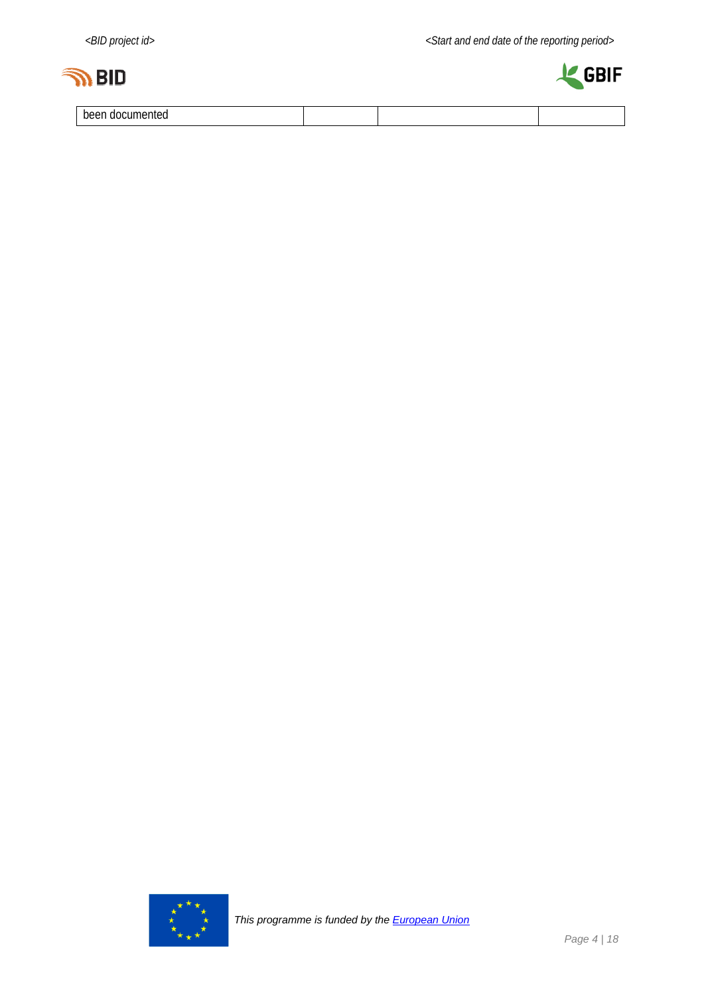



been documented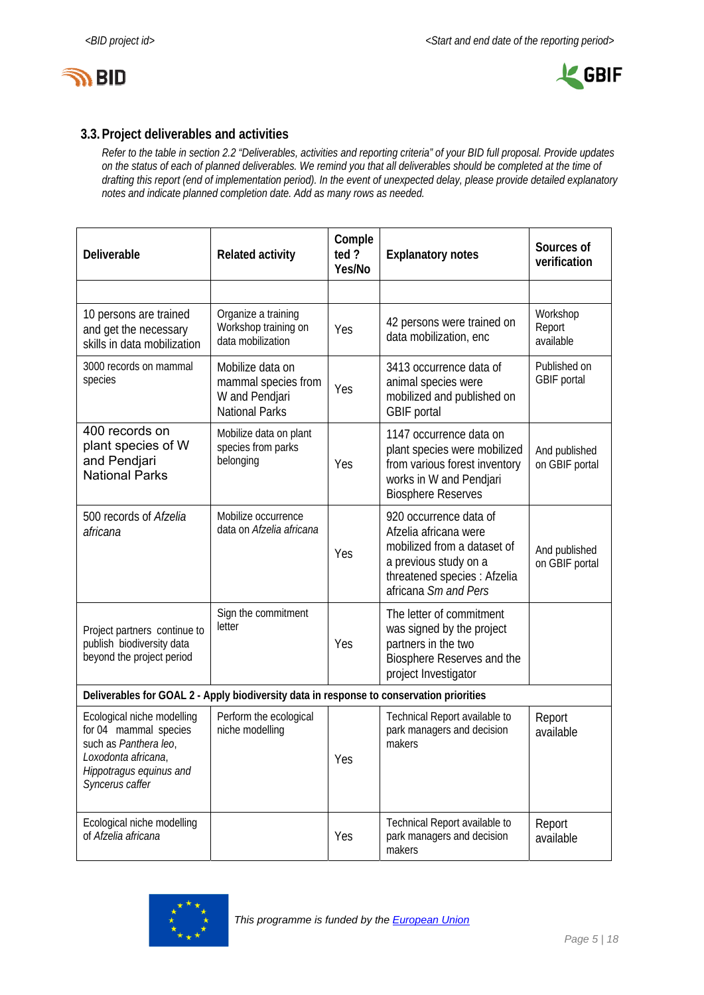



#### **3.3.Project deliverables and activities**

*Refer to the table in section 2.2 "Deliverables, activities and reporting criteria" of your BID full proposal. Provide updates on the status of each of planned deliverables. We remind you that all deliverables should be completed at the time of drafting this report (end of implementation period). In the event of unexpected delay, please provide detailed explanatory notes and indicate planned completion date. Add as many rows as needed.* 

| Deliverable                                                                                                                                       | <b>Related activity</b>                                                            | Comple<br>ted?<br>Yes/No | <b>Explanatory notes</b>                                                                                                                                        | Sources of<br>verification      |
|---------------------------------------------------------------------------------------------------------------------------------------------------|------------------------------------------------------------------------------------|--------------------------|-----------------------------------------------------------------------------------------------------------------------------------------------------------------|---------------------------------|
|                                                                                                                                                   |                                                                                    |                          |                                                                                                                                                                 |                                 |
| 10 persons are trained<br>and get the necessary<br>skills in data mobilization                                                                    | Organize a training<br>Workshop training on<br>data mobilization                   | Yes                      | 42 persons were trained on<br>data mobilization, enc                                                                                                            | Workshop<br>Report<br>available |
| 3000 records on mammal<br>species                                                                                                                 | Mobilize data on<br>mammal species from<br>W and Pendjari<br><b>National Parks</b> | Yes                      | 3413 occurrence data of<br>animal species were<br>mobilized and published on<br><b>GBIF</b> portal                                                              | Published on<br>GBIF portal     |
| 400 records on<br>plant species of W<br>and Pendjari<br><b>National Parks</b>                                                                     | Mobilize data on plant<br>species from parks<br>belonging                          | Yes                      | 1147 occurrence data on<br>plant species were mobilized<br>from various forest inventory<br>works in W and Pendjari<br><b>Biosphere Reserves</b>                | And published<br>on GBIF portal |
| 500 records of Afzelia<br>africana                                                                                                                | Mobilize occurrence<br>data on Afzelia africana                                    | Yes                      | 920 occurrence data of<br>Afzelia africana were<br>mobilized from a dataset of<br>a previous study on a<br>threatened species : Afzelia<br>africana Sm and Pers | And published<br>on GBIF portal |
| Project partners continue to<br>publish biodiversity data<br>beyond the project period                                                            | Sign the commitment<br>letter                                                      | Yes                      | The letter of commitment<br>was signed by the project<br>partners in the two<br>Biosphere Reserves and the<br>project Investigator                              |                                 |
| Deliverables for GOAL 2 - Apply biodiversity data in response to conservation priorities                                                          |                                                                                    |                          |                                                                                                                                                                 |                                 |
| Ecological niche modelling<br>for 04 mammal species<br>such as Panthera leo,<br>Loxodonta africana,<br>Hippotragus equinus and<br>Syncerus caffer | Perform the ecological<br>niche modelling                                          | Yes                      | Technical Report available to<br>park managers and decision<br>makers                                                                                           | Report<br>available             |
| Ecological niche modelling<br>of Afzelia africana                                                                                                 |                                                                                    | Yes                      | Technical Report available to<br>park managers and decision<br>makers                                                                                           | Report<br>available             |

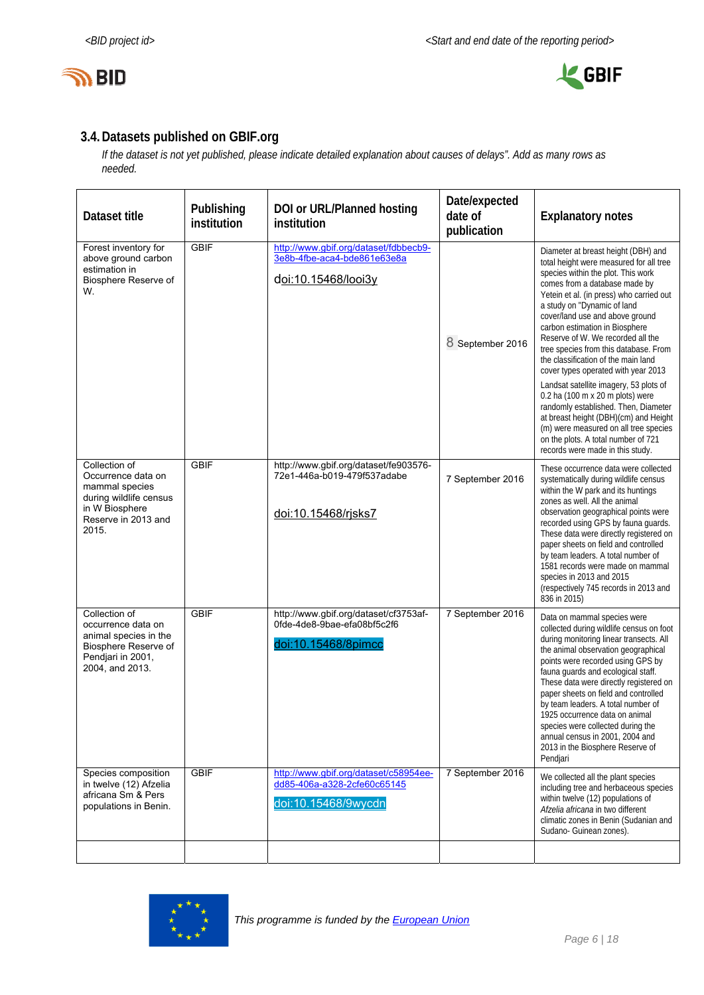



#### **3.4.Datasets published on GBIF.org**

*If the dataset is not yet published, please indicate detailed explanation about causes of delays". Add as many rows as needed.* 

| Dataset title                                                                                                                     | Publishing<br>institution | DOI or URL/Planned hosting<br>institution                                                   | Date/expected<br>date of<br>publication | <b>Explanatory notes</b>                                                                                                                                                                                                                                                                                                                                                                                                                                                                                               |
|-----------------------------------------------------------------------------------------------------------------------------------|---------------------------|---------------------------------------------------------------------------------------------|-----------------------------------------|------------------------------------------------------------------------------------------------------------------------------------------------------------------------------------------------------------------------------------------------------------------------------------------------------------------------------------------------------------------------------------------------------------------------------------------------------------------------------------------------------------------------|
| Forest inventory for<br>above ground carbon<br>estimation in<br>Biosphere Reserve of<br>W.                                        | <b>GBIF</b>               | http://www.gbif.org/dataset/fdbbecb9-<br>3e8b-4fbe-aca4-bde861e63e8a<br>doi:10.15468/looi3y | 8 September 2016                        | Diameter at breast height (DBH) and<br>total height were measured for all tree<br>species within the plot. This work<br>comes from a database made by<br>Yetein et al. (in press) who carried out<br>a study on "Dynamic of land<br>cover/land use and above ground<br>carbon estimation in Biosphere<br>Reserve of W. We recorded all the<br>tree species from this database. From<br>the classification of the main land<br>cover types operated with year 2013                                                      |
|                                                                                                                                   |                           |                                                                                             |                                         | Landsat satellite imagery, 53 plots of<br>0.2 ha (100 m x 20 m plots) were<br>randomly established. Then, Diameter<br>at breast height (DBH)(cm) and Height<br>(m) were measured on all tree species<br>on the plots. A total number of 721<br>records were made in this study.                                                                                                                                                                                                                                        |
| Collection of<br>Occurrence data on<br>mammal species<br>during wildlife census<br>in W Biosphere<br>Reserve in 2013 and<br>2015. | <b>GBIF</b>               | http://www.gbif.org/dataset/fe903576-<br>72e1-446a-b019-479f537adabe<br>doi:10.15468/rjsks7 | 7 September 2016                        | These occurrence data were collected<br>systematically during wildlife census<br>within the W park and its huntings<br>zones as well. All the animal<br>observation geographical points were<br>recorded using GPS by fauna quards.<br>These data were directly registered on<br>paper sheets on field and controlled<br>by team leaders. A total number of<br>1581 records were made on mammal<br>species in 2013 and 2015<br>(respectively 745 records in 2013 and<br>836 in 2015)                                   |
| Collection of<br>occurrence data on<br>animal species in the<br>Biosphere Reserve of<br>Pendjari in 2001,<br>2004, and 2013.      | <b>GBIF</b>               | http://www.gbif.org/dataset/cf3753af-<br>0fde-4de8-9bae-efa08bf5c2f6<br>doi:10.15468/8pimcc | 7 September 2016                        | Data on mammal species were<br>collected during wildlife census on foot<br>during monitoring linear transects. All<br>the animal observation geographical<br>points were recorded using GPS by<br>fauna guards and ecological staff.<br>These data were directly registered on<br>paper sheets on field and controlled<br>by team leaders. A total number of<br>1925 occurrence data on animal<br>species were collected during the<br>annual census in 2001, 2004 and<br>2013 in the Biosphere Reserve of<br>Pendjari |
| Species composition<br>in twelve (12) Afzelia<br>africana Sm & Pers<br>populations in Benin.                                      | <b>GBIF</b>               | http://www.gbif.org/dataset/c58954ee-<br>dd85-406a-a328-2cfe60c65145<br>doi:10.15468/9wycdn | 7 September 2016                        | We collected all the plant species<br>including tree and herbaceous species<br>within twelve (12) populations of<br>Afzelia africana in two different<br>climatic zones in Benin (Sudanian and<br>Sudano- Guinean zones).                                                                                                                                                                                                                                                                                              |
|                                                                                                                                   |                           |                                                                                             |                                         |                                                                                                                                                                                                                                                                                                                                                                                                                                                                                                                        |

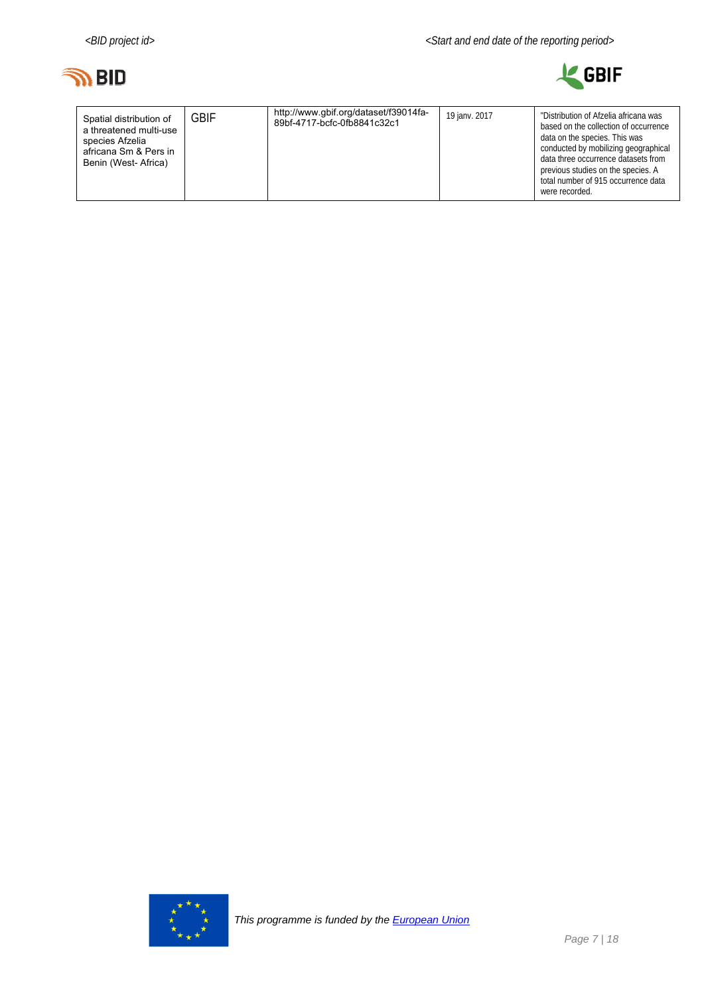



| http://www.gbif.org/dataset/f39014fa-<br><b>GBIF</b><br>Spatial distribution of<br>89bf-4717-bcfc-0fb8841c32c1<br>a threatened multi-use<br>species Afzelia<br>africana Sm & Pers in<br>Benin (West-Africa) | 19 janv. 2017 | "Distribution of Afzelia africana was<br>based on the collection of occurrence<br>data on the species. This was<br>conducted by mobilizing geographical<br>data three occurrence datasets from<br>previous studies on the species. A<br>total number of 915 occurrence data<br>were recorded. |
|-------------------------------------------------------------------------------------------------------------------------------------------------------------------------------------------------------------|---------------|-----------------------------------------------------------------------------------------------------------------------------------------------------------------------------------------------------------------------------------------------------------------------------------------------|
|-------------------------------------------------------------------------------------------------------------------------------------------------------------------------------------------------------------|---------------|-----------------------------------------------------------------------------------------------------------------------------------------------------------------------------------------------------------------------------------------------------------------------------------------------|

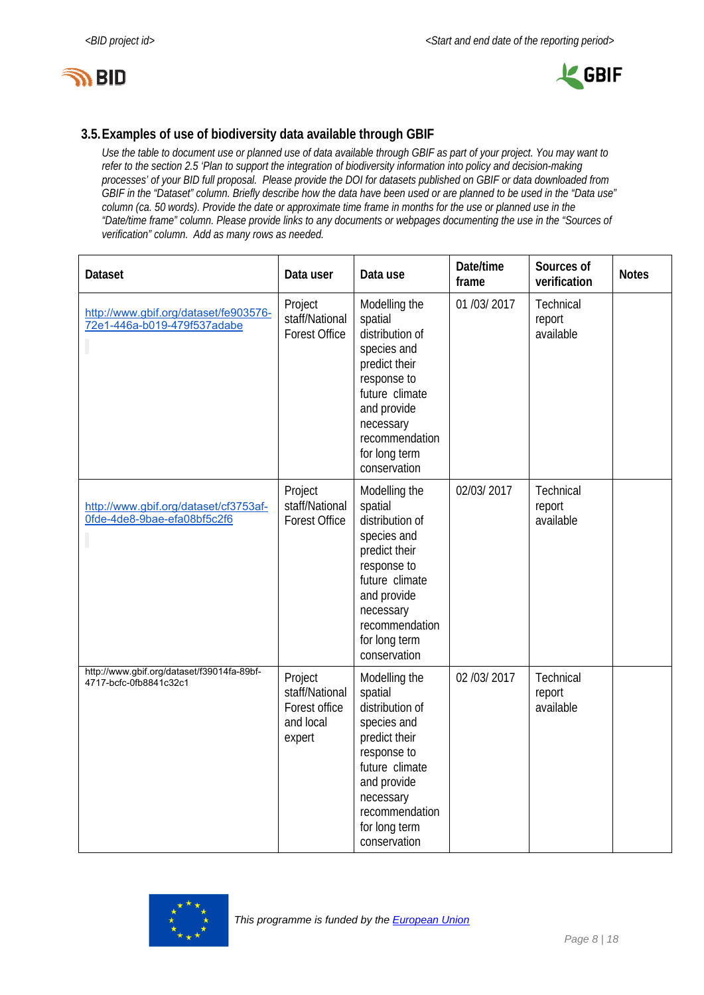



#### **3.5.Examples of use of biodiversity data available through GBIF**

*Use the table to document use or planned use of data available through GBIF as part of your project. You may want to refer to the section 2.5 'Plan to support the integration of biodiversity information into policy and decision-making processes' of your BID full proposal. Please provide the DOI for datasets published on GBIF or data downloaded from GBIF in the "Dataset" column. Briefly describe how the data have been used or are planned to be used in the "Data use" column (ca. 50 words). Provide the date or approximate time frame in months for the use or planned use in the "Date/time frame" column. Please provide links to any documents or webpages documenting the use in the "Sources of verification" column. Add as many rows as needed.* 

| <b>Dataset</b>                                                       | Data user                                                         | Data use                                                                                                                                                                                    | Date/time<br>frame | Sources of<br>verification       | <b>Notes</b> |
|----------------------------------------------------------------------|-------------------------------------------------------------------|---------------------------------------------------------------------------------------------------------------------------------------------------------------------------------------------|--------------------|----------------------------------|--------------|
| http://www.gbif.org/dataset/fe903576-<br>72e1-446a-b019-479f537adabe | Project<br>staff/National<br><b>Forest Office</b>                 | Modelling the<br>spatial<br>distribution of<br>species and<br>predict their<br>response to<br>future climate<br>and provide<br>necessary<br>recommendation<br>for long term<br>conservation | 01 /03/ 2017       | Technical<br>report<br>available |              |
| http://www.gbif.org/dataset/cf3753af-<br>0fde-4de8-9bae-efa08bf5c2f6 | Project<br>staff/National<br><b>Forest Office</b>                 | Modelling the<br>spatial<br>distribution of<br>species and<br>predict their<br>response to<br>future climate<br>and provide<br>necessary<br>recommendation<br>for long term<br>conservation | 02/03/2017         | Technical<br>report<br>available |              |
| http://www.gbif.org/dataset/f39014fa-89bf-<br>4717-bcfc-0fb8841c32c1 | Project<br>staff/National<br>Forest office<br>and local<br>expert | Modelling the<br>spatial<br>distribution of<br>species and<br>predict their<br>response to<br>future climate<br>and provide<br>necessary<br>recommendation<br>for long term<br>conservation | 02 /03/ 2017       | Technical<br>report<br>available |              |

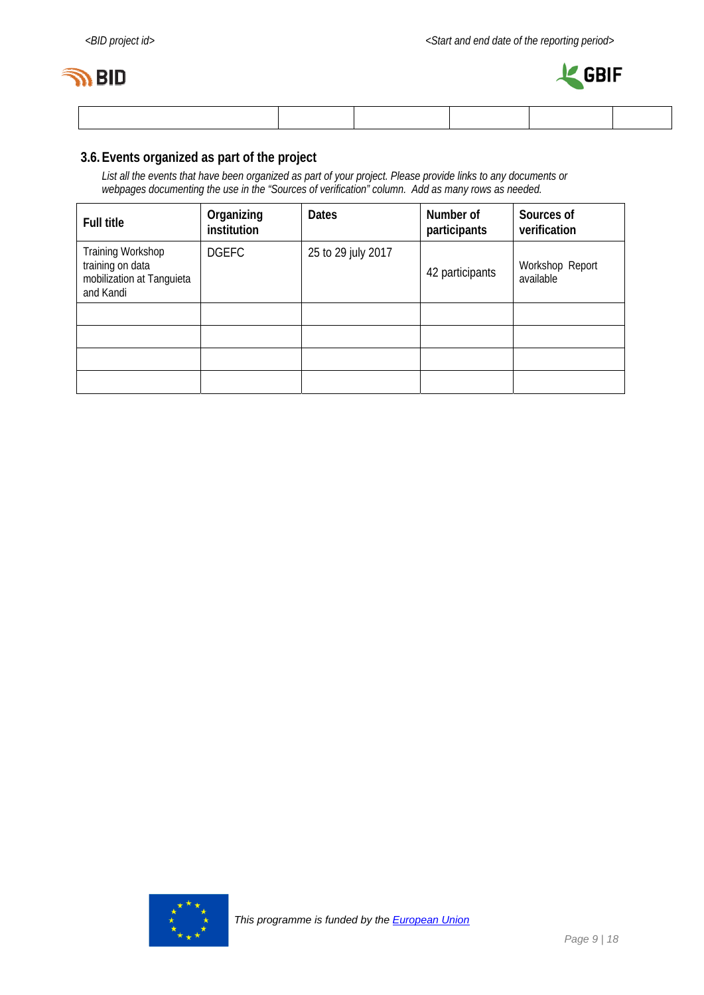



#### **3.6.Events organized as part of the project**

*List all the events that have been organized as part of your project. Please provide links to any documents or webpages documenting the use in the "Sources of verification" column. Add as many rows as needed.* 

| <b>Full title</b>                                                               | Organizing<br>institution | <b>Dates</b>       | Number of<br>participants | Sources of<br>verification   |
|---------------------------------------------------------------------------------|---------------------------|--------------------|---------------------------|------------------------------|
| Training Workshop<br>training on data<br>mobilization at Tanguieta<br>and Kandi | <b>DGEFC</b>              | 25 to 29 july 2017 | 42 participants           | Workshop Report<br>available |
|                                                                                 |                           |                    |                           |                              |
|                                                                                 |                           |                    |                           |                              |
|                                                                                 |                           |                    |                           |                              |
|                                                                                 |                           |                    |                           |                              |

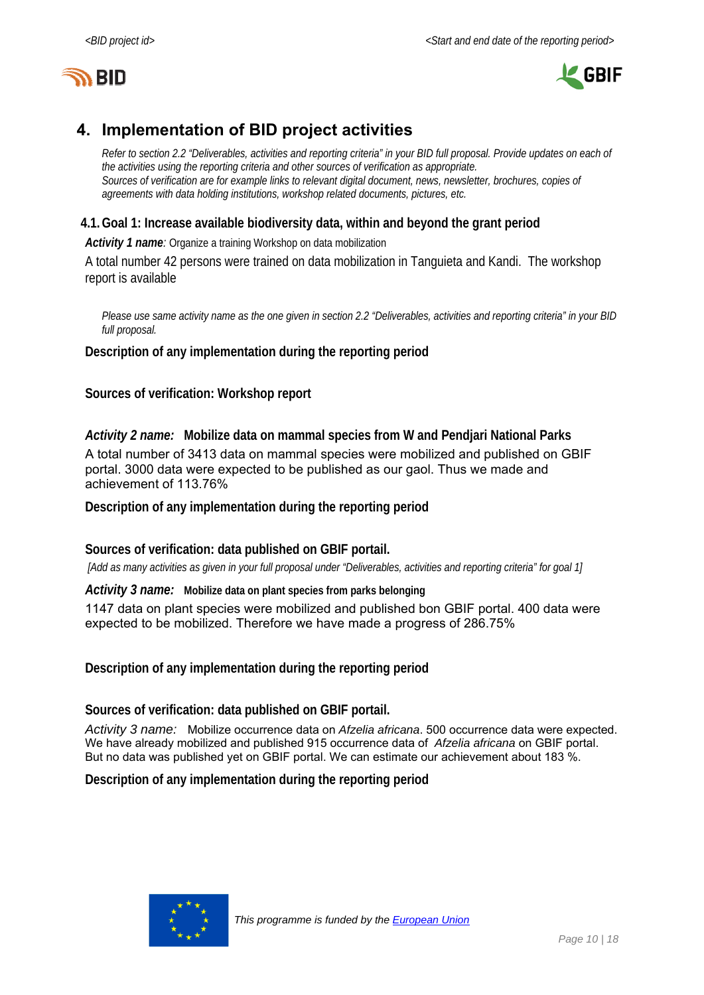



# **4. Implementation of BID project activities**

*Refer to section 2.2 "Deliverables, activities and reporting criteria" in your BID full proposal. Provide updates on each of the activities using the reporting criteria and other sources of verification as appropriate. Sources of verification are for example links to relevant digital document, news, newsletter, brochures, copies of agreements with data holding institutions, workshop related documents, pictures, etc.* 

#### **4.1.Goal 1: Increase available biodiversity data, within and beyond the grant period**

Activity 1 name: Organize a training Workshop on data mobilization

A total number 42 persons were trained on data mobilization in Tanguieta and Kandi. The workshop report is available

*Please use same activity name as the one given in section 2.2 "Deliverables, activities and reporting criteria" in your BID full proposal.*

**Description of any implementation during the reporting period** 

**Sources of verification: Workshop report** 

*Activity 2 name:* **Mobilize data on mammal species from W and Pendjari National Parks**  A total number of 3413 data on mammal species were mobilized and published on GBIF portal. 3000 data were expected to be published as our gaol. Thus we made and achievement of 113.76%

**Description of any implementation during the reporting period** 

**Sources of verification: data published on GBIF portail.** 

 *[Add as many activities as given in your full proposal under "Deliverables, activities and reporting criteria" for goal 1]* 

*Activity 3 name:* **Mobilize data on plant species from parks belonging** 

1147 data on plant species were mobilized and published bon GBIF portal. 400 data were expected to be mobilized. Therefore we have made a progress of 286.75%

**Description of any implementation during the reporting period** 

**Sources of verification: data published on GBIF portail.** 

*Activity 3 name:* Mobilize occurrence data on *Afzelia africana*. 500 occurrence data were expected. We have already mobilized and published 915 occurrence data of *Afzelia africana* on GBIF portal. But no data was published yet on GBIF portal. We can estimate our achievement about 183 %.

**Description of any implementation during the reporting period** 

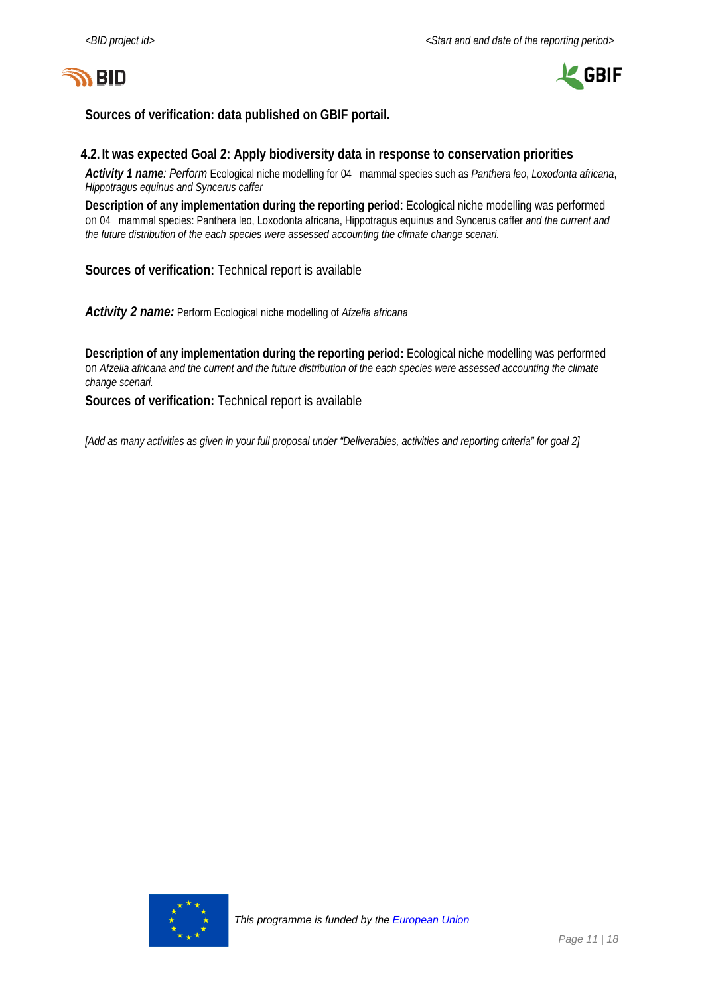



**Sources of verification: data published on GBIF portail.** 

#### **4.2. It was expected Goal 2: Apply biodiversity data in response to conservation priorities**

*Activity 1 name: Perform* Ecological niche modelling for 04 mammal species such as *Panthera leo*, *Loxodonta africana*, *Hippotragus equinus and Syncerus caffer* 

**Description of any implementation during the reporting period**: Ecological niche modelling was performed on 04 mammal species: Panthera leo, Loxodonta africana, Hippotragus equinus and Syncerus caffer *and the current and the future distribution of the each species were assessed accounting the climate change scenari.* 

**Sources of verification:** Technical report is available

*Activity 2 name:* Perform Ecological niche modelling of *Afzelia africana*

**Description of any implementation during the reporting period:** Ecological niche modelling was performed on *Afzelia africana and the current and the future distribution of the each species were assessed accounting the climate change scenari.* 

**Sources of verification:** Technical report is available

*[Add as many activities as given in your full proposal under "Deliverables, activities and reporting criteria" for goal 2]* 

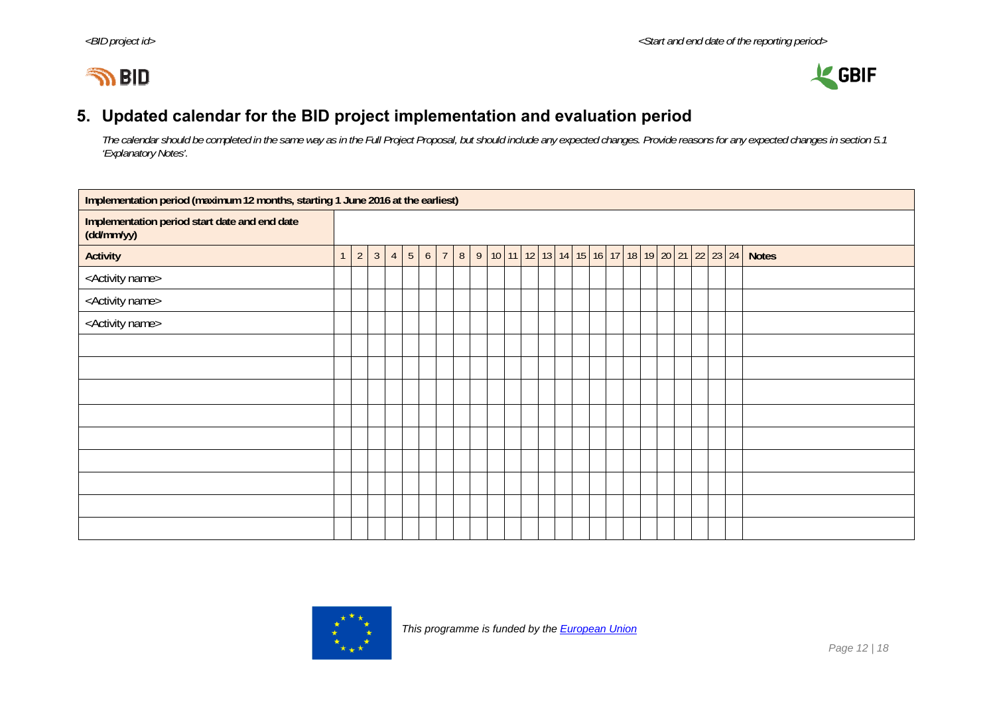



## **5. Updated calendar for the BID project implementation and evaluation period**

*The calendar should be completed in the same way as in the Full Project Proposal, but should include any expected changes. Provide reasons for any expected changes in section 5.1 'Explanatory Notes'.* 

| Implementation period (maximum 12 months, starting 1 June 2016 at the earliest) |                |              |                |                 |   |                |   |  |  |                                                                              |  |  |  |  |  |              |
|---------------------------------------------------------------------------------|----------------|--------------|----------------|-----------------|---|----------------|---|--|--|------------------------------------------------------------------------------|--|--|--|--|--|--------------|
| Implementation period start date and end date<br>(dd/mm/yy)                     |                |              |                |                 |   |                |   |  |  |                                                                              |  |  |  |  |  |              |
| <b>Activity</b>                                                                 | $\overline{2}$ | $\mathbf{3}$ | $\overline{4}$ | $5\phantom{.0}$ | 6 | $\overline{7}$ | 8 |  |  | 9   10   11   12   13   14   15   16   17   18   19   20   21   22   23   24 |  |  |  |  |  | <b>Notes</b> |
| <activity name=""></activity>                                                   |                |              |                |                 |   |                |   |  |  |                                                                              |  |  |  |  |  |              |
| <activity name=""></activity>                                                   |                |              |                |                 |   |                |   |  |  |                                                                              |  |  |  |  |  |              |
| <activity name=""></activity>                                                   |                |              |                |                 |   |                |   |  |  |                                                                              |  |  |  |  |  |              |
|                                                                                 |                |              |                |                 |   |                |   |  |  |                                                                              |  |  |  |  |  |              |
|                                                                                 |                |              |                |                 |   |                |   |  |  |                                                                              |  |  |  |  |  |              |
|                                                                                 |                |              |                |                 |   |                |   |  |  |                                                                              |  |  |  |  |  |              |
|                                                                                 |                |              |                |                 |   |                |   |  |  |                                                                              |  |  |  |  |  |              |
|                                                                                 |                |              |                |                 |   |                |   |  |  |                                                                              |  |  |  |  |  |              |
|                                                                                 |                |              |                |                 |   |                |   |  |  |                                                                              |  |  |  |  |  |              |
|                                                                                 |                |              |                |                 |   |                |   |  |  |                                                                              |  |  |  |  |  |              |
|                                                                                 |                |              |                |                 |   |                |   |  |  |                                                                              |  |  |  |  |  |              |
|                                                                                 |                |              |                |                 |   |                |   |  |  |                                                                              |  |  |  |  |  |              |

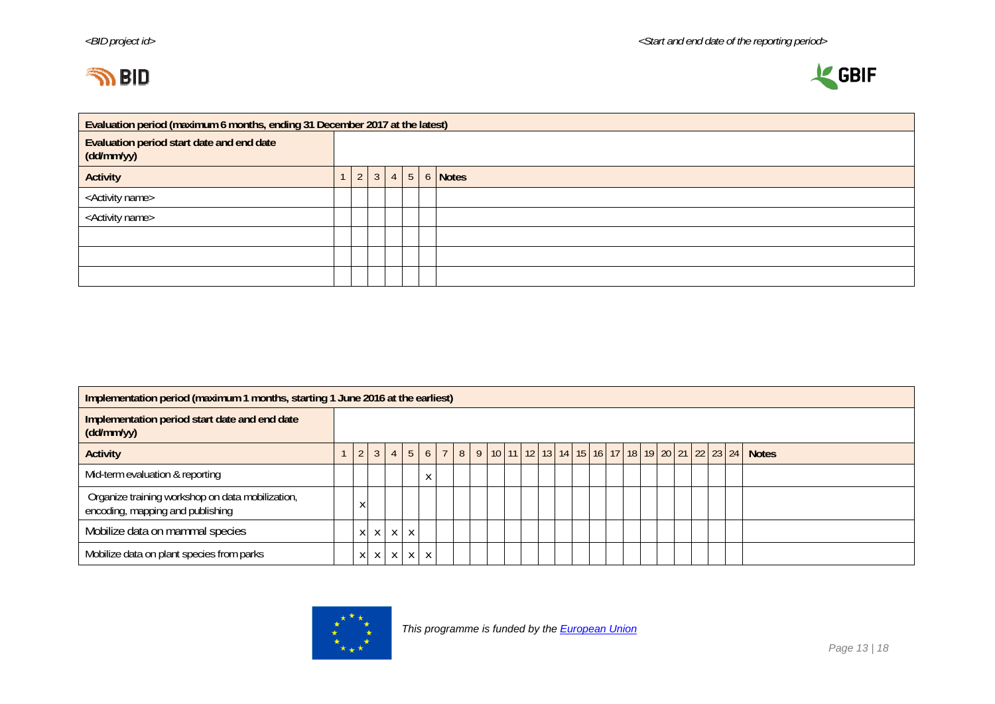



|                                                         | Evaluation period (maximum 6 months, ending 31 December 2017 at the latest) |                |                |  |  |  |                              |  |  |  |  |  |  |  |  |
|---------------------------------------------------------|-----------------------------------------------------------------------------|----------------|----------------|--|--|--|------------------------------|--|--|--|--|--|--|--|--|
| Evaluation period start date and end date<br>(dd/mm/yy) |                                                                             |                |                |  |  |  |                              |  |  |  |  |  |  |  |  |
| <b>Activity</b>                                         |                                                                             | 2 <sup>1</sup> | 3 <sup>1</sup> |  |  |  | $4 \mid 5 \mid 6 \mid$ Notes |  |  |  |  |  |  |  |  |
| <activity name=""></activity>                           |                                                                             |                |                |  |  |  |                              |  |  |  |  |  |  |  |  |
| <activity name=""></activity>                           |                                                                             |                |                |  |  |  |                              |  |  |  |  |  |  |  |  |
|                                                         |                                                                             |                |                |  |  |  |                              |  |  |  |  |  |  |  |  |
|                                                         |                                                                             |                |                |  |  |  |                              |  |  |  |  |  |  |  |  |
|                                                         |                                                                             |                |                |  |  |  |                              |  |  |  |  |  |  |  |  |

|                                                                                      | Implementation period (maximum 1 months, starting 1 June 2016 at the earliest) |   |   |   |              |                            |  |  |  |  |  |  |  |  |  |  |  |  |  |                                                                                                                                                                           |
|--------------------------------------------------------------------------------------|--------------------------------------------------------------------------------|---|---|---|--------------|----------------------------|--|--|--|--|--|--|--|--|--|--|--|--|--|---------------------------------------------------------------------------------------------------------------------------------------------------------------------------|
| Implementation period start date and end date<br>(dd/mm/yy)                          |                                                                                |   |   |   |              |                            |  |  |  |  |  |  |  |  |  |  |  |  |  |                                                                                                                                                                           |
| <b>Activity</b>                                                                      |                                                                                |   |   |   |              |                            |  |  |  |  |  |  |  |  |  |  |  |  |  | $4 \mid 5 \mid 6 \mid 7 \mid 8 \mid 9 \mid 10 \mid 11 \mid 12 \mid 13 \mid 14 \mid 15 \mid 16 \mid 17 \mid 18 \mid 19 \mid 20 \mid 21 \mid 22 \mid 23 \mid 24 \mid$ Notes |
| Mid-term evaluation & reporting                                                      |                                                                                |   |   |   |              | $\checkmark$<br>$\sqrt{ }$ |  |  |  |  |  |  |  |  |  |  |  |  |  |                                                                                                                                                                           |
| Organize training workshop on data mobilization,<br>encoding, mapping and publishing |                                                                                |   |   |   |              |                            |  |  |  |  |  |  |  |  |  |  |  |  |  |                                                                                                                                                                           |
| Mobilize data on mammal species                                                      |                                                                                | X | X | X | $\mathsf{X}$ |                            |  |  |  |  |  |  |  |  |  |  |  |  |  |                                                                                                                                                                           |
| Mobilize data on plant species from parks                                            |                                                                                | X | X | X | $\mathsf{X}$ | X                          |  |  |  |  |  |  |  |  |  |  |  |  |  |                                                                                                                                                                           |

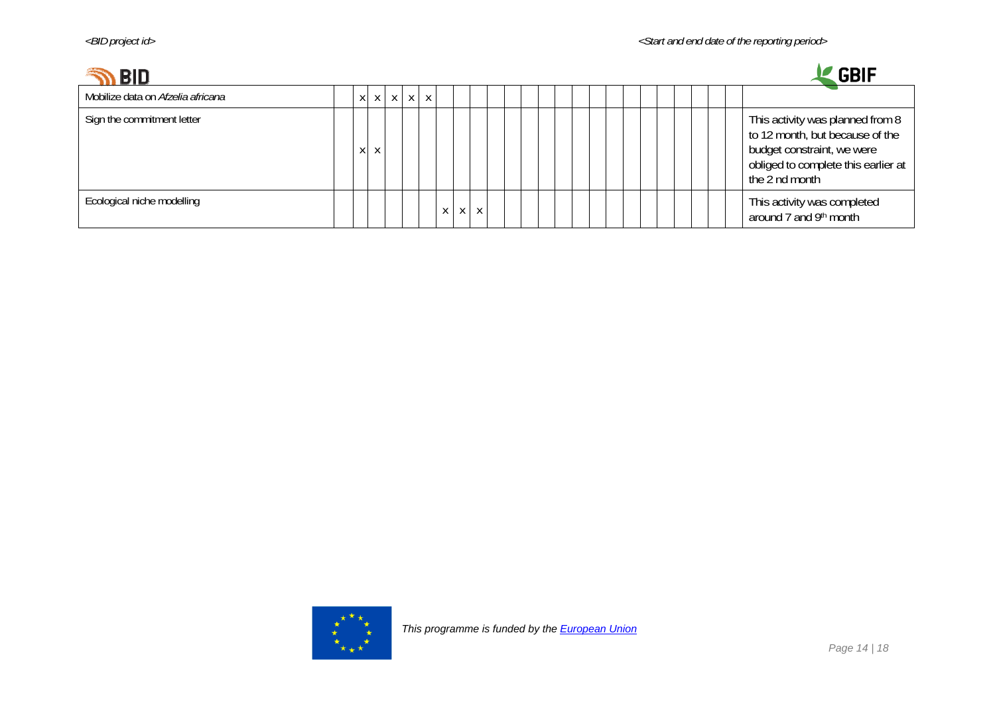# **SO PIN**



| N DIU.                            |                 |  |              |          |  |  |  |  |  |  |  | ייש                                                                                                                                                        |
|-----------------------------------|-----------------|--|--------------|----------|--|--|--|--|--|--|--|------------------------------------------------------------------------------------------------------------------------------------------------------------|
| Mobilize data on Afzelia africana | $X$ $X$ $X$ $X$ |  | $\mathsf{X}$ |          |  |  |  |  |  |  |  |                                                                                                                                                            |
| Sign the commitment letter        | X               |  |              |          |  |  |  |  |  |  |  | This activity was planned from 8<br>to 12 month, but because of the<br>budget constraint, we were<br>obliged to complete this earlier at<br>the 2 nd month |
| Ecological niche modelling        |                 |  |              | $\times$ |  |  |  |  |  |  |  | This activity was completed<br>around 7 and 9th month                                                                                                      |

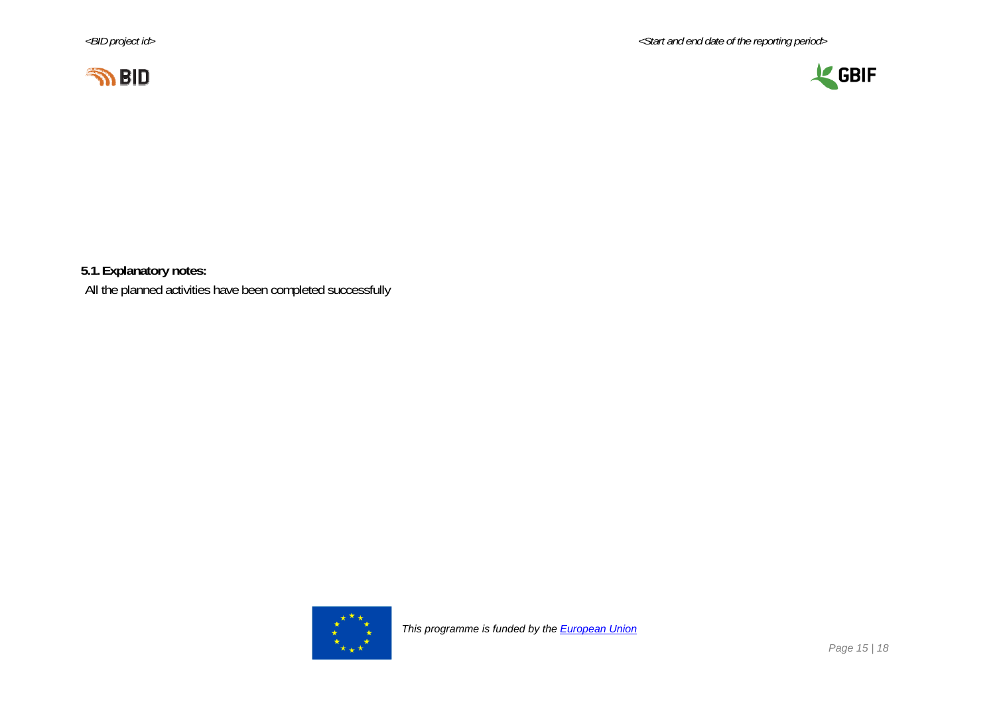*<BID project id> <Start and end date of the reporting period>* 





**5.1.Explanatory notes:** 

All the planned activities have been completed successfully

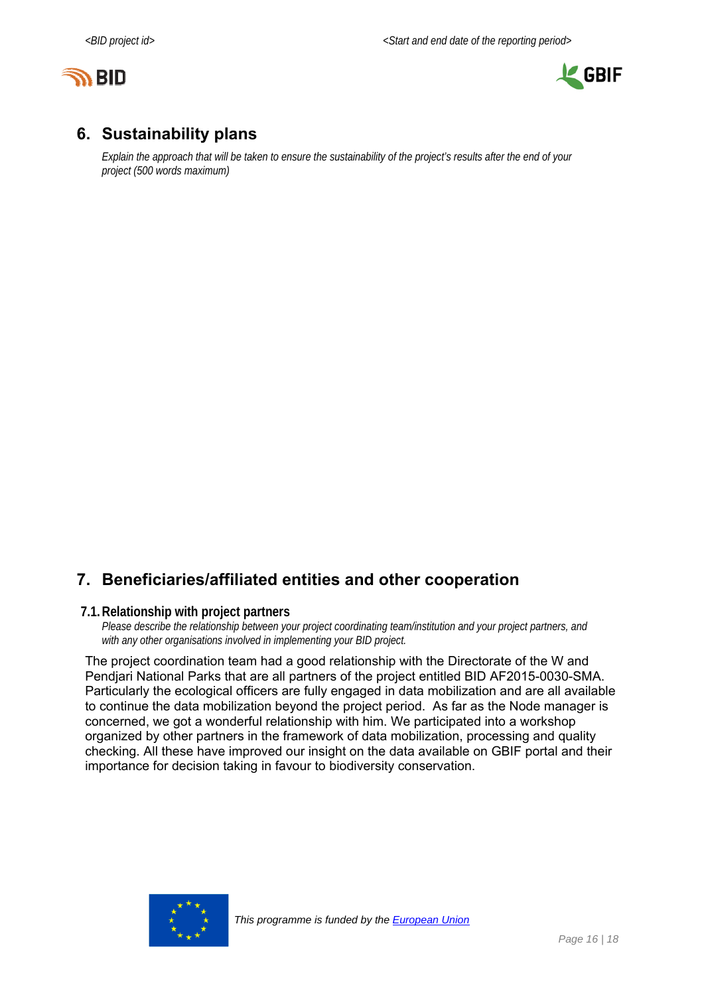



## **6. Sustainability plans**

*Explain the approach that will be taken to ensure the sustainability of the project's results after the end of your project (500 words maximum)* 

## **7. Beneficiaries/affiliated entities and other cooperation**

#### **7.1.Relationship with project partners**

*Please describe the relationship between your project coordinating team/institution and your project partners, and with any other organisations involved in implementing your BID project.* 

The project coordination team had a good relationship with the Directorate of the W and Pendjari National Parks that are all partners of the project entitled BID AF2015-0030-SMA. Particularly the ecological officers are fully engaged in data mobilization and are all available to continue the data mobilization beyond the project period. As far as the Node manager is concerned, we got a wonderful relationship with him. We participated into a workshop organized by other partners in the framework of data mobilization, processing and quality checking. All these have improved our insight on the data available on GBIF portal and their importance for decision taking in favour to biodiversity conservation.